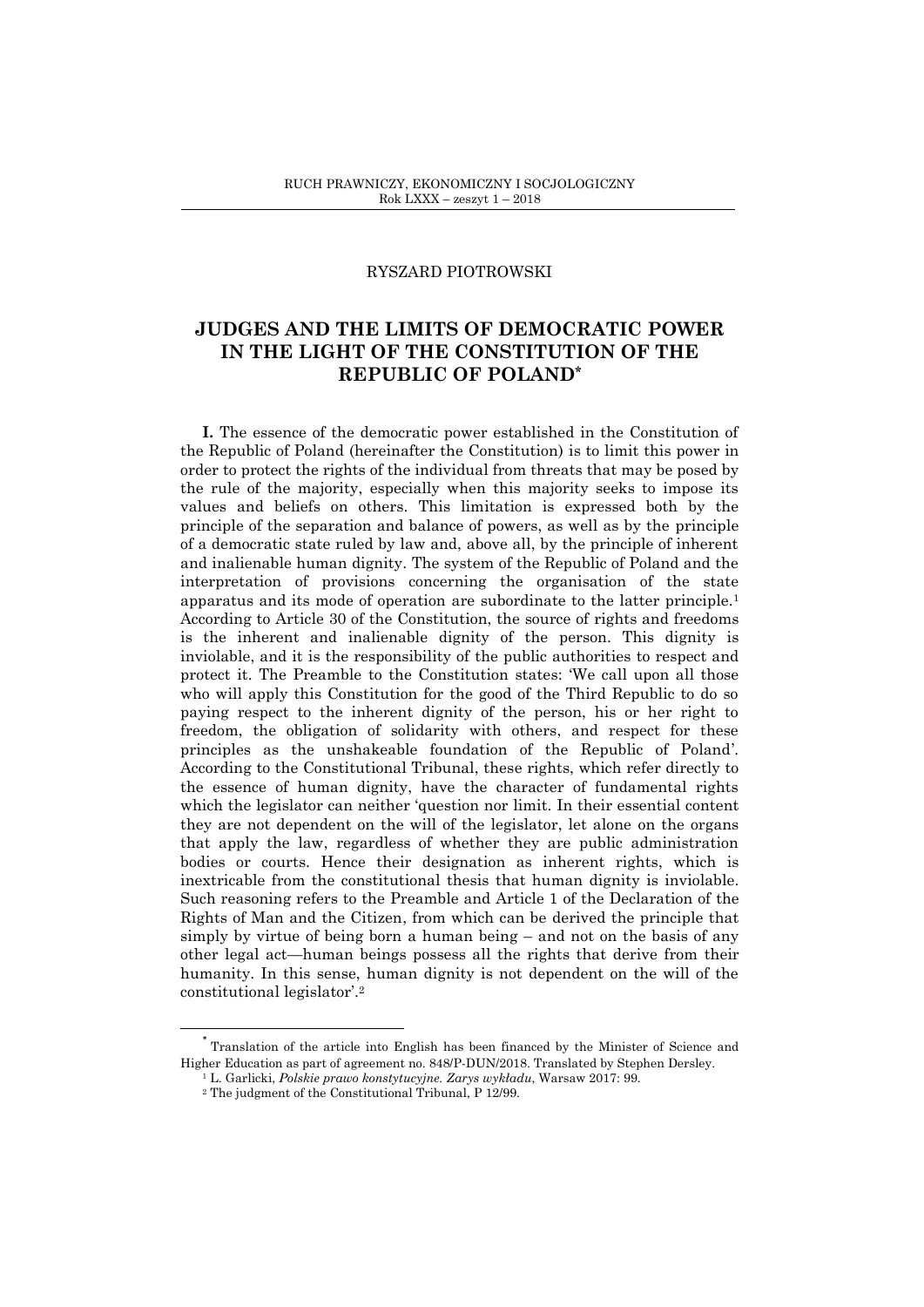## RYSZARD PIOTROWSKI

## **JUDGES AND THE LIMITS OF DEMOCRATIC POWER IN THE LIGHT OF THE CONSTITUTION OF THE REPUBLIC OF POLAND\***

**I.** The essence of the democratic power established in the Constitution of the Republic of Poland (hereinafter the Constitution) is to limit this power in order to protect the rights of the individual from threats that may be posed by the rule of the majority, especially when this majority seeks to impose its values and beliefs on others. This limitation is expressed both by the principle of the separation and balance of powers, as well as by the principle of a democratic state ruled by law and, above all, by the principle of inherent and inalienable human dignity. The system of the Republic of Poland and the interpretation of provisions concerning the organisation of the state apparatus and its mode of operation are subordinate to the latter principle.<sup>1</sup> According to Article 30 of the Constitution, the source of rights and freedoms is the inherent and inalienable dignity of the person. This dignity is inviolable, and it is the responsibility of the public authorities to respect and protect it. The Preamble to the Constitution states: 'We call upon all those who will apply this Constitution for the good of the Third Republic to do so paying respect to the inherent dignity of the person, his or her right to freedom, the obligation of solidarity with others, and respect for these principles as the unshakeable foundation of the Republic of Poland'. According to the Constitutional Tribunal, these rights, which refer directly to the essence of human dignity, have the character of fundamental rights which the legislator can neither 'question nor limit. In their essential content they are not dependent on the will of the legislator, let alone on the organs that apply the law, regardless of whether they are public administration bodies or courts. Hence their designation as inherent rights, which is inextricable from the constitutional thesis that human dignity is inviolable. Such reasoning refers to the Preamble and Article 1 of the Declaration of the Rights of Man and the Citizen, from which can be derived the principle that simply by virtue of being born a human being – and not on the basis of any other legal act—human beings possess all the rights that derive from their humanity. In this sense, human dignity is not dependent on the will of the constitutional legislator'. 2

<sup>\*</sup> Translation of the article into English has been financed by the Minister of Science and Higher Education as part of agreement no. 848/P-DUN/2018. Translated by Stephen Dersley.

<sup>1</sup> L. Garlicki, *Polskie prawo konstytucyjne. Zarys wykładu*, Warsaw 2017: 99.

<sup>2</sup> The judgment of the Constitutional Tribunal, P 12/99.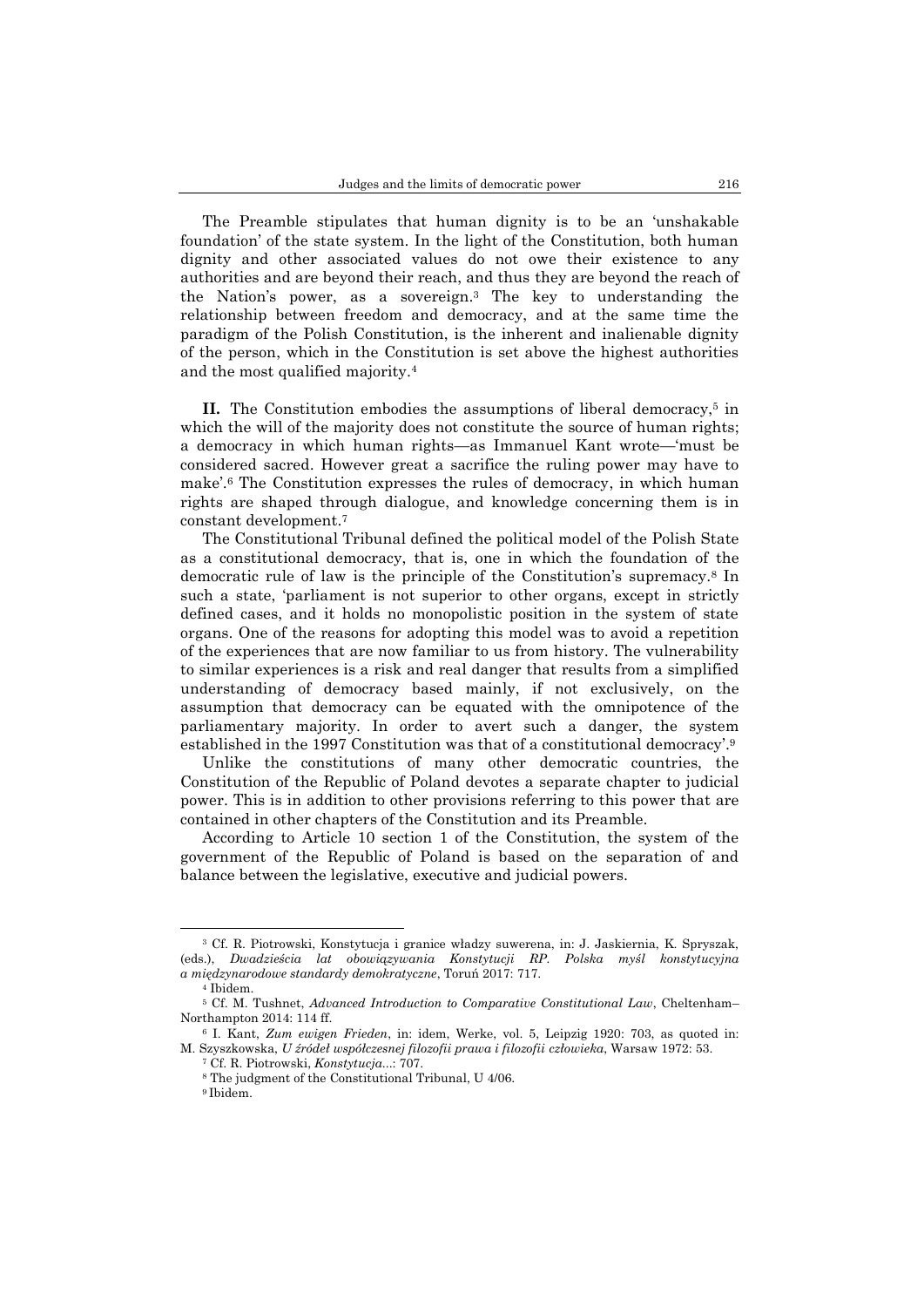The Preamble stipulates that human dignity is to be an 'unshakable foundation' of the state system. In the light of the Constitution, both human dignity and other associated values do not owe their existence to any authorities and are beyond their reach, and thus they are beyond the reach of the Nation's power, as a sovereign. <sup>3</sup> The key to understanding the relationship between freedom and democracy, and at the same time the paradigm of the Polish Constitution, is the inherent and inalienable dignity of the person, which in the Constitution is set above the highest authorities and the most qualified majority.<sup>4</sup>

**II.** The Constitution embodies the assumptions of liberal democracy,<sup>5</sup> in which the will of the majority does not constitute the source of human rights; a democracy in which human rights—as Immanuel Kant wrote—'must be considered sacred. However great a sacrifice the ruling power may have to make'. <sup>6</sup> The Constitution expresses the rules of democracy, in which human rights are shaped through dialogue, and knowledge concerning them is in constant development. 7

The Constitutional Tribunal defined the political model of the Polish State as a constitutional democracy, that is, one in which the foundation of the democratic rule of law is the principle of the Constitution's supremacy. <sup>8</sup> In such a state, 'parliament is not superior to other organs, except in strictly defined cases, and it holds no monopolistic position in the system of state organs. One of the reasons for adopting this model was to avoid a repetition of the experiences that are now familiar to us from history. The vulnerability to similar experiences is a risk and real danger that results from a simplified understanding of democracy based mainly, if not exclusively, on the assumption that democracy can be equated with the omnipotence of the parliamentary majority. In order to avert such a danger, the system established in the 1997 Constitution was that of a constitutional democracy'. 9

Unlike the constitutions of many other democratic countries, the Constitution of the Republic of Poland devotes a separate chapter to judicial power. This is in addition to other provisions referring to this power that are contained in other chapters of the Constitution and its Preamble.

According to Article 10 section 1 of the Constitution, the system of the government of the Republic of Poland is based on the separation of and balance between the legislative, executive and judicial powers.

<sup>3</sup> Cf. R. Piotrowski, Konstytucja i granice władzy suwerena, in: J. Jaskiernia, K. Spryszak, (eds.), *Dwadzieścia lat obowiązywania Konstytucji RP. Polska myśl konstytucyjna a międzynarodowe standardy demokratyczne*, Toruń 2017: 717.

<sup>4</sup> Ibidem.

<sup>5</sup> Cf. M. Tushnet, *Advanced Introduction to Comparative Constitutional Law*, Cheltenham– Northampton 2014: 114 ff.

<sup>6</sup> I. Kant, *Zum ewigen Frieden*, in: idem, Werke, vol. 5, Leipzig 1920: 703, as quoted in: M. Szyszkowska, *U źródeł współczesnej filozofii prawa i filozofii człowieka*, Warsaw 1972: 53.

<sup>7</sup> Cf. R. Piotrowski, *Konstytucja*...: 707.

<sup>8</sup> The judgment of the Constitutional Tribunal, U 4/06.

<sup>9</sup> Ibidem.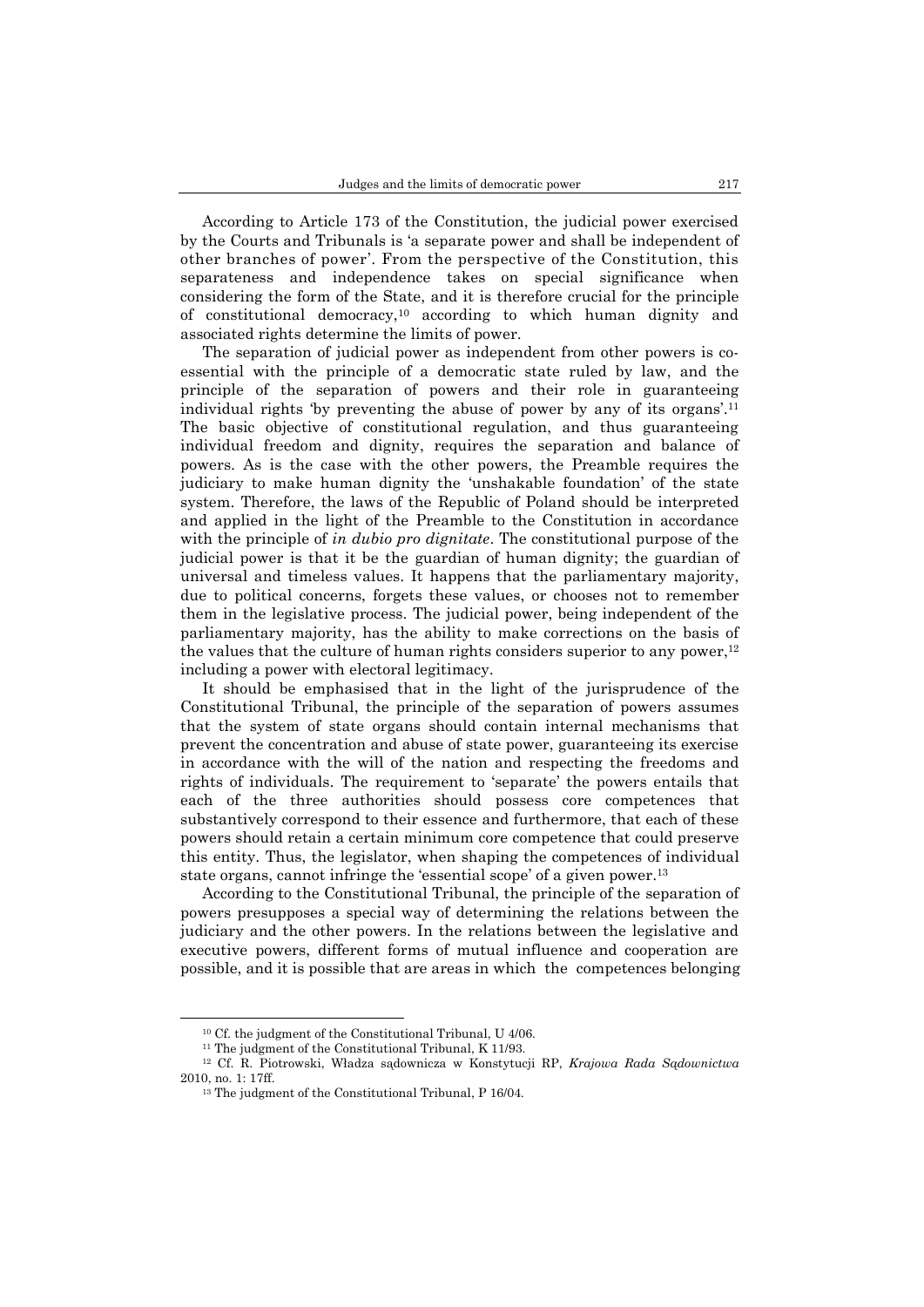According to Article 173 of the Constitution, the judicial power exercised by the Courts and Tribunals is 'a separate power and shall be independent of other branches of power'. From the perspective of the Constitution, this separateness and independence takes on special significance when considering the form of the State, and it is therefore crucial for the principle of constitutional democracy,<sup>10</sup> according to which human dignity and associated rights determine the limits of power.

The separation of judicial power as independent from other powers is coessential with the principle of a democratic state ruled by law, and the principle of the separation of powers and their role in guaranteeing individual rights 'by preventing the abuse of power by any of its organs'. 11 The basic objective of constitutional regulation, and thus guaranteeing individual freedom and dignity, requires the separation and balance of powers. As is the case with the other powers, the Preamble requires the judiciary to make human dignity the 'unshakable foundation' of the state system. Therefore, the laws of the Republic of Poland should be interpreted and applied in the light of the Preamble to the Constitution in accordance with the principle of *in dubio pro dignitate*. The constitutional purpose of the judicial power is that it be the guardian of human dignity; the guardian of universal and timeless values. It happens that the parliamentary majority, due to political concerns, forgets these values, or chooses not to remember them in the legislative process. The judicial power, being independent of the parliamentary majority, has the ability to make corrections on the basis of the values that the culture of human rights considers superior to any power,<sup>12</sup> including a power with electoral legitimacy.

It should be emphasised that in the light of the jurisprudence of the Constitutional Tribunal, the principle of the separation of powers assumes that the system of state organs should contain internal mechanisms that prevent the concentration and abuse of state power, guaranteeing its exercise in accordance with the will of the nation and respecting the freedoms and rights of individuals. The requirement to 'separate' the powers entails that each of the three authorities should possess core competences that substantively correspond to their essence and furthermore, that each of these powers should retain a certain minimum core competence that could preserve this entity. Thus, the legislator, when shaping the competences of individual state organs, cannot infringe the 'essential scope' of a given power.<sup>13</sup>

According to the Constitutional Tribunal, the principle of the separation of powers presupposes a special way of determining the relations between the judiciary and the other powers. In the relations between the legislative and executive powers, different forms of mutual influence and cooperation are possible, and it is possible that are areas in which the competences belonging

<sup>10</sup> Cf. the judgment of the Constitutional Tribunal, U 4/06.

<sup>11</sup> The judgment of the Constitutional Tribunal, K 11/93.

<sup>12</sup> Cf. R. Piotrowski, Władza sądownicza w Konstytucji RP, *Krajowa Rada Sądownictwa* 2010, no. 1: 17ff.

<sup>&</sup>lt;sup>13</sup> The judgment of the Constitutional Tribunal, P 16/04.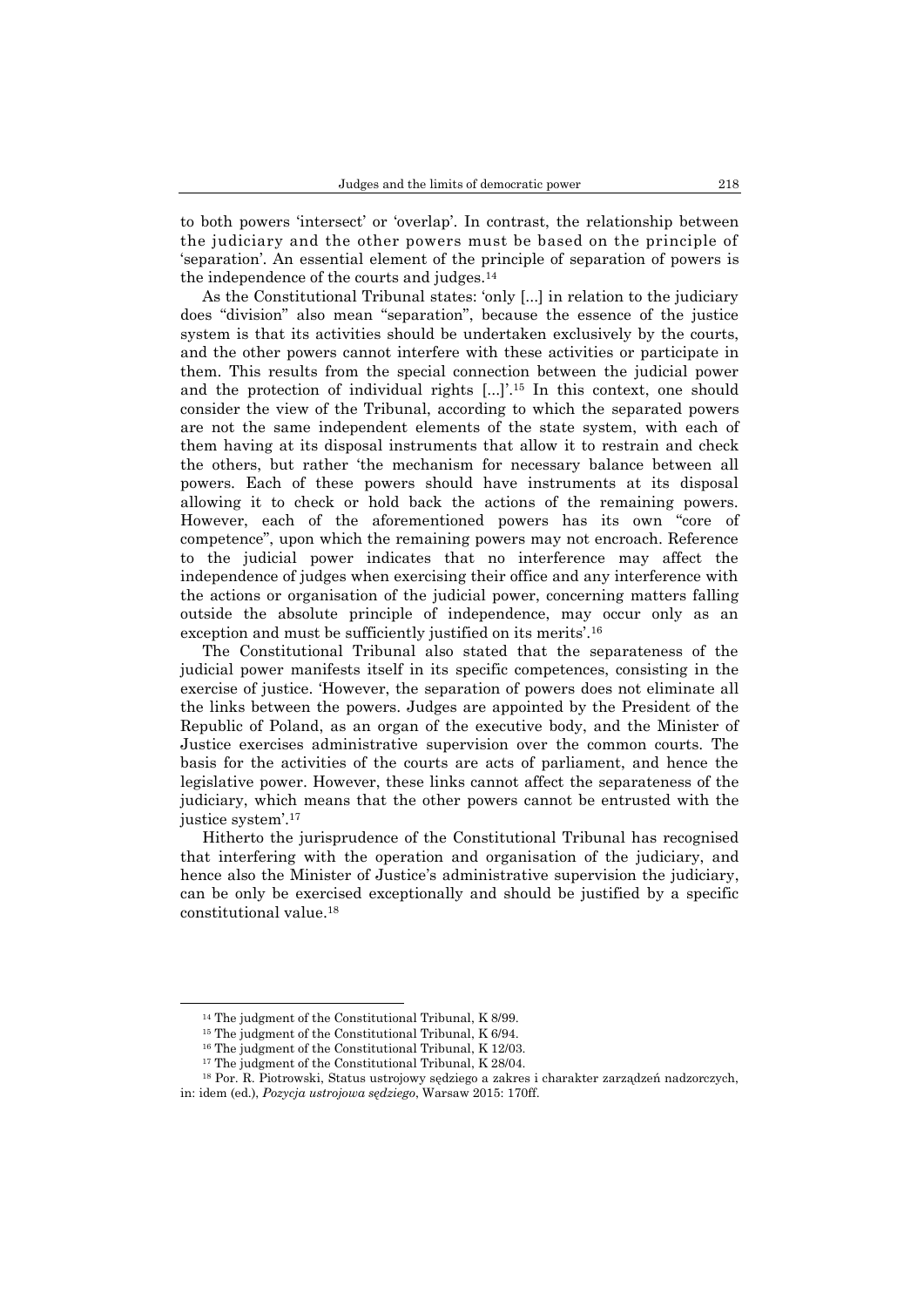to both powers 'intersect' or 'overlap'. In contrast, the relationship between the judiciary and the other powers must be based on the principle of 'separation'. An essential element of the principle of separation of powers is the independence of the courts and judges. 14

As the Constitutional Tribunal states: 'only [...] in relation to the judiciary does "division" also mean "separation", because the essence of the justice system is that its activities should be undertaken exclusively by the courts, and the other powers cannot interfere with these activities or participate in them. This results from the special connection between the judicial power and the protection of individual rights [...]'. <sup>15</sup> In this context, one should consider the view of the Tribunal, according to which the separated powers are not the same independent elements of the state system, with each of them having at its disposal instruments that allow it to restrain and check the others, but rather 'the mechanism for necessary balance between all powers. Each of these powers should have instruments at its disposal allowing it to check or hold back the actions of the remaining powers. However, each of the aforementioned powers has its own "core of competence", upon which the remaining powers may not encroach. Reference to the judicial power indicates that no interference may affect the independence of judges when exercising their office and any interference with the actions or organisation of the judicial power, concerning matters falling outside the absolute principle of independence, may occur only as an exception and must be sufficiently justified on its merits'. 16

The Constitutional Tribunal also stated that the separateness of the judicial power manifests itself in its specific competences, consisting in the exercise of justice. 'However, the separation of powers does not eliminate all the links between the powers. Judges are appointed by the President of the Republic of Poland, as an organ of the executive body, and the Minister of Justice exercises administrative supervision over the common courts. The basis for the activities of the courts are acts of parliament, and hence the legislative power. However, these links cannot affect the separateness of the judiciary, which means that the other powers cannot be entrusted with the justice system'.<sup>17</sup>

Hitherto the jurisprudence of the Constitutional Tribunal has recognised that interfering with the operation and organisation of the judiciary, and hence also the Minister of Justice's administrative supervision the judiciary, can be only be exercised exceptionally and should be justified by a specific constitutional value. 18

<sup>14</sup> The judgment of the Constitutional Tribunal, K 8/99.

<sup>&</sup>lt;sup>15</sup> The judgment of the Constitutional Tribunal, K 6/94.

<sup>16</sup> The judgment of the Constitutional Tribunal, K 12/03.

<sup>&</sup>lt;sup>17</sup> The judgment of the Constitutional Tribunal, K 28/04.

<sup>18</sup> Por. R. Piotrowski, Status ustrojowy sędziego a zakres i charakter zarządzeń nadzorczych, in: idem (ed.), *Pozycja ustrojowa sędziego*, Warsaw 2015: 170ff.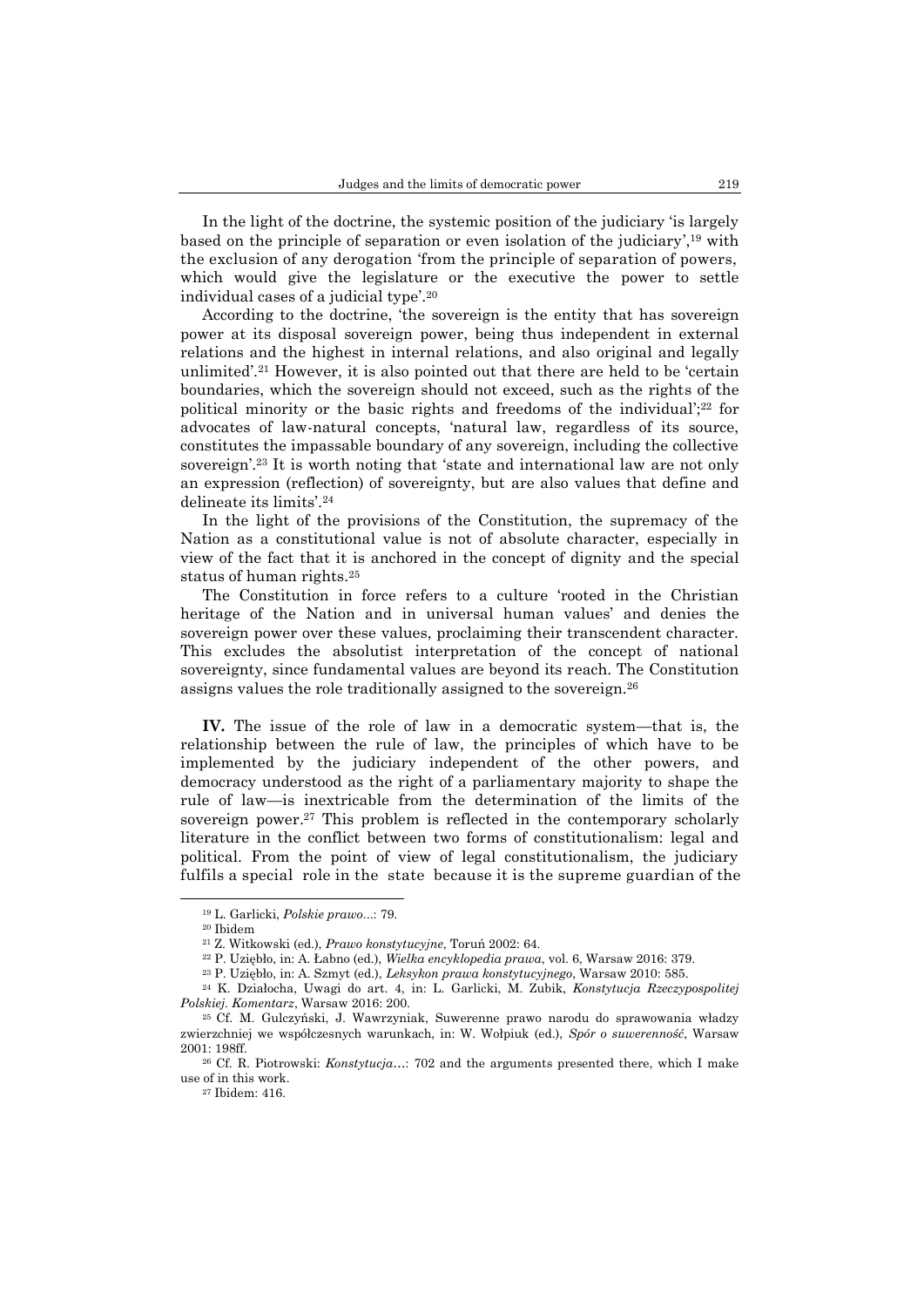In the light of the doctrine, the systemic position of the judiciary 'is largely based on the principle of separation or even isolation of the judiciary',<sup>19</sup> with the exclusion of any derogation 'from the principle of separation of powers, which would give the legislature or the executive the power to settle individual cases of a judicial type'.<sup>20</sup>

According to the doctrine, 'the sovereign is the entity that has sovereign power at its disposal sovereign power, being thus independent in external relations and the highest in internal relations, and also original and legally unlimited'. <sup>21</sup> However, it is also pointed out that there are held to be 'certain boundaries, which the sovereign should not exceed, such as the rights of the political minority or the basic rights and freedoms of the individual'; <sup>22</sup> for advocates of law-natural concepts, 'natural law, regardless of its source, constitutes the impassable boundary of any sovereign, including the collective sovereign'.<sup>23</sup> It is worth noting that 'state and international law are not only an expression (reflection) of sovereignty, but are also values that define and delineate its limits'. 24

In the light of the provisions of the Constitution, the supremacy of the Nation as a constitutional value is not of absolute character, especially in view of the fact that it is anchored in the concept of dignity and the special status of human rights. 25

The Constitution in force refers to a culture 'rooted in the Christian heritage of the Nation and in universal human values' and denies the sovereign power over these values, proclaiming their transcendent character. This excludes the absolutist interpretation of the concept of national sovereignty, since fundamental values are beyond its reach. The Constitution assigns values the role traditionally assigned to the sovereign.<sup>26</sup>

**IV.** The issue of the role of law in a democratic system—that is, the relationship between the rule of law, the principles of which have to be implemented by the judiciary independent of the other powers, and democracy understood as the right of a parliamentary majority to shape the rule of law—is inextricable from the determination of the limits of the sovereign power. <sup>27</sup> This problem is reflected in the contemporary scholarly literature in the conflict between two forms of constitutionalism: legal and political. From the point of view of legal constitutionalism, the judiciary fulfils a special role in the state because it is the supreme guardian of the

<sup>19</sup> L. Garlicki, *Polskie prawo*...: 79.

<sup>20</sup> Ibidem

<sup>21</sup> Z. Witkowski (ed.), *Prawo konstytucyjne*, Toruń 2002: 64.

<sup>22</sup> P. Uziębło, in: A. Łabno (ed.), *Wielka encyklopedia prawa*, vol. 6, Warsaw 2016: 379.

<sup>23</sup> P. Uziębło, in: A. Szmyt (ed.), *Leksykon prawa konstytucyjnego*, Warsaw 2010: 585.

<sup>24</sup> K. Działocha, Uwagi do art. 4, in: L. Garlicki, M. Zubik, *Konstytucja Rzeczypospolitej Polskiej. Komentarz*, Warsaw 2016: 200.

<sup>25</sup> Cf. M. Gulczyński, J. Wawrzyniak, Suwerenne prawo narodu do sprawowania władzy zwierzchniej we współczesnych warunkach, in: W. Wołpiuk (ed.), *Spór o suwerenność*, Warsaw 2001: 198ff.

<sup>26</sup> Cf. R. Piotrowski: *Konstytucja*…: 702 and the arguments presented there, which I make use of in this work.

<sup>27</sup> Ibidem: 416.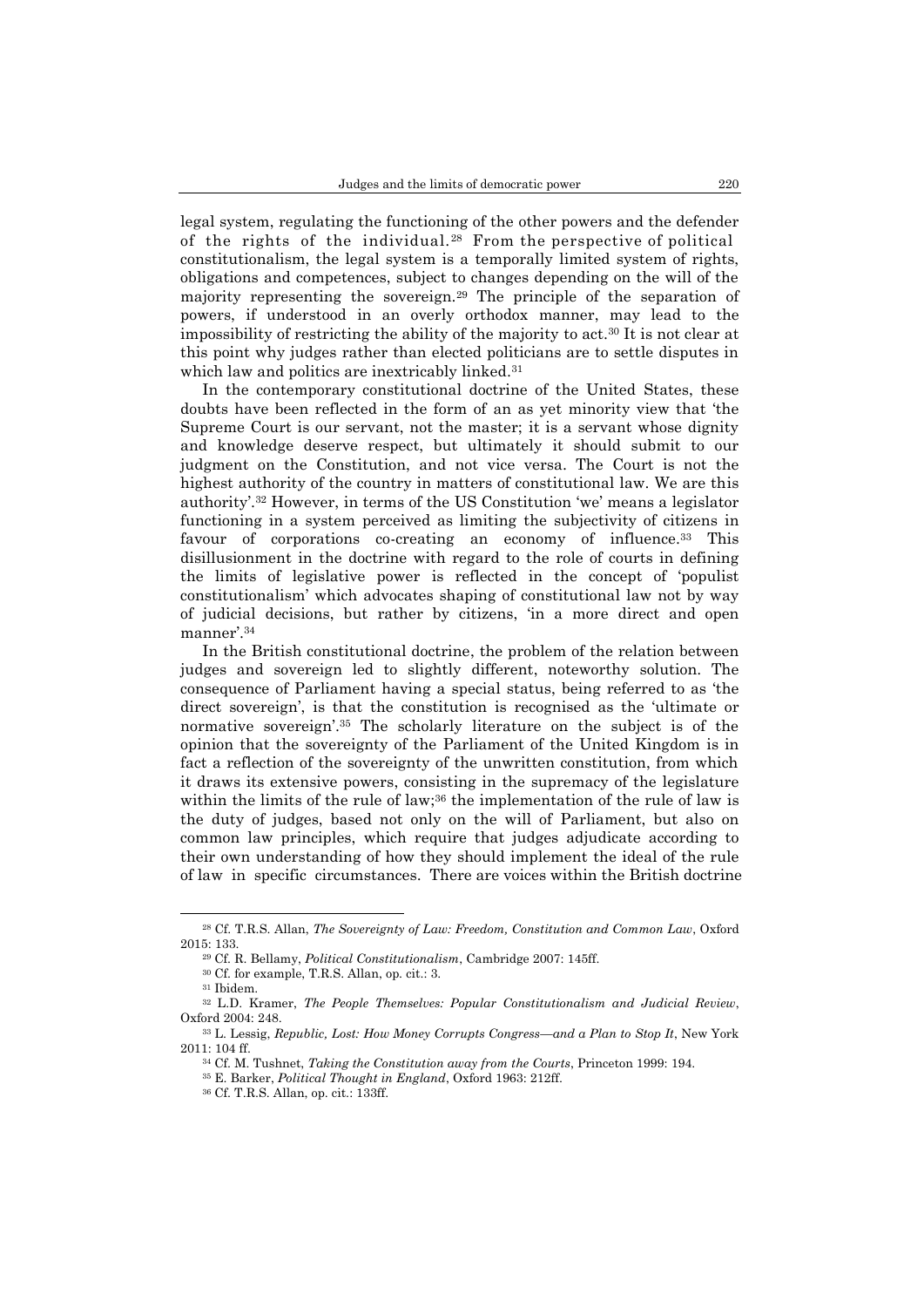legal system, regulating the functioning of the other powers and the defender of the rights of the individual.<sup>28</sup> From the perspective of political constitutionalism, the legal system is a temporally limited system of rights, obligations and competences, subject to changes depending on the will of the majority representing the sovereign.<sup>29</sup> The principle of the separation of powers, if understood in an overly orthodox manner, may lead to the impossibility of restricting the ability of the majority to act. <sup>30</sup> It is not clear at this point why judges rather than elected politicians are to settle disputes in which law and politics are inextricably linked.<sup>31</sup>

In the contemporary constitutional doctrine of the United States, these doubts have been reflected in the form of an as yet minority view that 'the Supreme Court is our servant, not the master; it is a servant whose dignity and knowledge deserve respect, but ultimately it should submit to our judgment on the Constitution, and not vice versa. The Court is not the highest authority of the country in matters of constitutional law. We are this authority'. <sup>32</sup> However, in terms of the US Constitution 'we' means a legislator functioning in a system perceived as limiting the subjectivity of citizens in favour of corporations co-creating an economy of influence.<sup>33</sup> This disillusionment in the doctrine with regard to the role of courts in defining the limits of legislative power is reflected in the concept of 'populist constitutionalism' which advocates shaping of constitutional law not by way of judicial decisions, but rather by citizens, 'in a more direct and open manner'.<sup>34</sup>

In the British constitutional doctrine, the problem of the relation between judges and sovereign led to slightly different, noteworthy solution. The consequence of Parliament having a special status, being referred to as 'the direct sovereign', is that the constitution is recognised as the 'ultimate or normative sovereign'. <sup>35</sup> The scholarly literature on the subject is of the opinion that the sovereignty of the Parliament of the United Kingdom is in fact a reflection of the sovereignty of the unwritten constitution, from which it draws its extensive powers, consisting in the supremacy of the legislature within the limits of the rule of law;<sup>36</sup> the implementation of the rule of law is the duty of judges, based not only on the will of Parliament, but also on common law principles, which require that judges adjudicate according to their own understanding of how they should implement the ideal of the rule of law in specific circumstances. There are voices within the British doctrine

<sup>28</sup> Cf. T.R.S. Allan, *The Sovereignty of Law: Freedom, Constitution and Common Law*, Oxford 2015: 133.

<sup>29</sup> Cf. R. Bellamy, *Political Constitutionalism*, Cambridge 2007: 145ff.

<sup>30</sup> Cf. for example, T.R.S. Allan, op. cit.: 3.

<sup>31</sup> Ibidem.

<sup>32</sup> L.D. Kramer, *The People Themselves: Popular Constitutionalism and Judicial Review*, Oxford 2004: 248.

<sup>33</sup> L. Lessig, *Republic, Lost: How Money Corrupts Congress—and a Plan to Stop It*, New York 2011: 104 ff.

<sup>34</sup> Cf. M. Tushnet, *Taking the Constitution away from the Courts*, Princeton 1999: 194.

<sup>35</sup> E. Barker, *Political Thought in England*, Oxford 1963: 212ff.

<sup>36</sup> Cf. T.R.S. Allan, op. cit.: 133ff.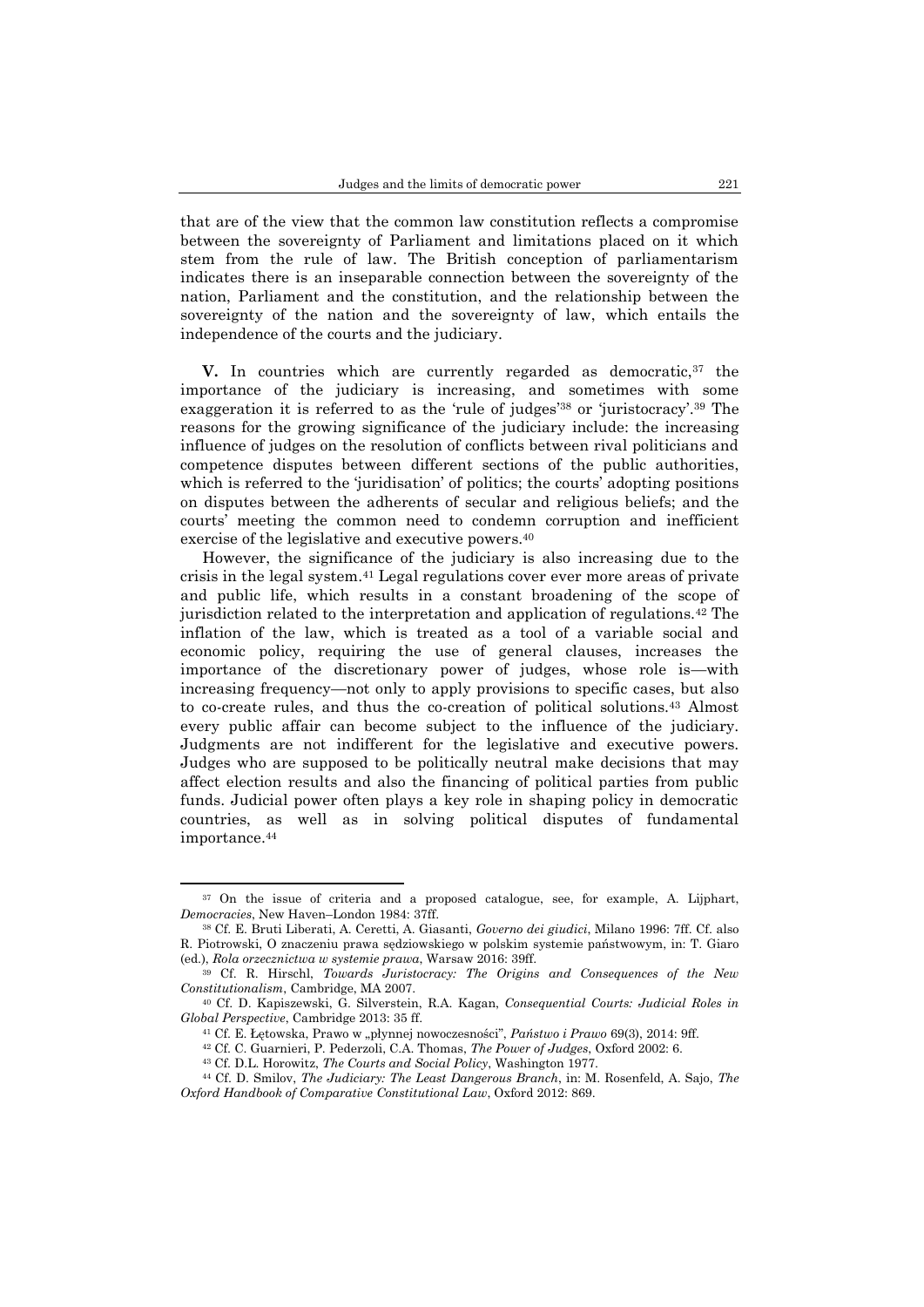that are of the view that the common law constitution reflects a compromise between the sovereignty of Parliament and limitations placed on it which stem from the rule of law. The British conception of parliamentarism indicates there is an inseparable connection between the sovereignty of the nation, Parliament and the constitution, and the relationship between the sovereignty of the nation and the sovereignty of law, which entails the independence of the courts and the judiciary.

V. In countries which are currently regarded as democratic,<sup>37</sup> the importance of the judiciary is increasing, and sometimes with some exaggeration it is referred to as the 'rule of judges' <sup>38</sup> or 'juristocracy'. <sup>39</sup> The reasons for the growing significance of the judiciary include: the increasing influence of judges on the resolution of conflicts between rival politicians and competence disputes between different sections of the public authorities, which is referred to the 'juridisation' of politics; the courts' adopting positions on disputes between the adherents of secular and religious beliefs; and the courts' meeting the common need to condemn corruption and inefficient exercise of the legislative and executive powers. 40

However, the significance of the judiciary is also increasing due to the crisis in the legal system.<sup>41</sup> Legal regulations cover ever more areas of private and public life, which results in a constant broadening of the scope of jurisdiction related to the interpretation and application of regulations.<sup>42</sup> The inflation of the law, which is treated as a tool of a variable social and economic policy, requiring the use of general clauses, increases the importance of the discretionary power of judges, whose role is—with increasing frequency—not only to apply provisions to specific cases, but also to co-create rules, and thus the co-creation of political solutions.<sup>43</sup> Almost every public affair can become subject to the influence of the judiciary. Judgments are not indifferent for the legislative and executive powers. Judges who are supposed to be politically neutral make decisions that may affect election results and also the financing of political parties from public funds. Judicial power often plays a key role in shaping policy in democratic countries, as well as in solving political disputes of fundamental importance.<sup>44</sup>

- <sup>42</sup> Cf. C. Guarnieri, P. Pederzoli, C.A. Thomas, *The Power of Judges*, Oxford 2002: 6.
- <sup>43</sup> Cf. D.L. Horowitz, *The Courts and Social Policy*, Washington 1977.

<sup>37</sup> On the issue of criteria and a proposed catalogue, see, for example, A. Lijphart, *Democracies*, New Haven–London 1984: 37ff.

<sup>38</sup> Cf. E. Bruti Liberati, A. Ceretti, A. Giasanti, *Governo dei giudici*, Milano 1996: 7ff. Cf. also R. Piotrowski, O znaczeniu prawa sędziowskiego w polskim systemie państwowym, in: T. Giaro (ed.), *Rola orzecznictwa w systemie prawa*, Warsaw 2016: 39ff.

<sup>39</sup> Cf. R. Hirschl, *Towards Juristocracy: The Origins and Consequences of the New Constitutionalism*, Cambridge, MA 2007.

<sup>40</sup> Cf. D. Kapiszewski, G. Silverstein, R.A. Kagan, *Consequential Courts: Judicial Roles in Global Perspective*, Cambridge 2013: 35 ff.

<sup>41</sup> Cf. E. Łętowska, Prawo w "płynnej nowoczesności", *Państwo i Prawo* 69(3), 2014: 9ff.

<sup>44</sup> Cf. D. Smilov, *The Judiciary: The Least Dangerous Branch*, in: M. Rosenfeld, A. Sajo, *The Oxford Handbook of Comparative Constitutional Law*, Oxford 2012: 869.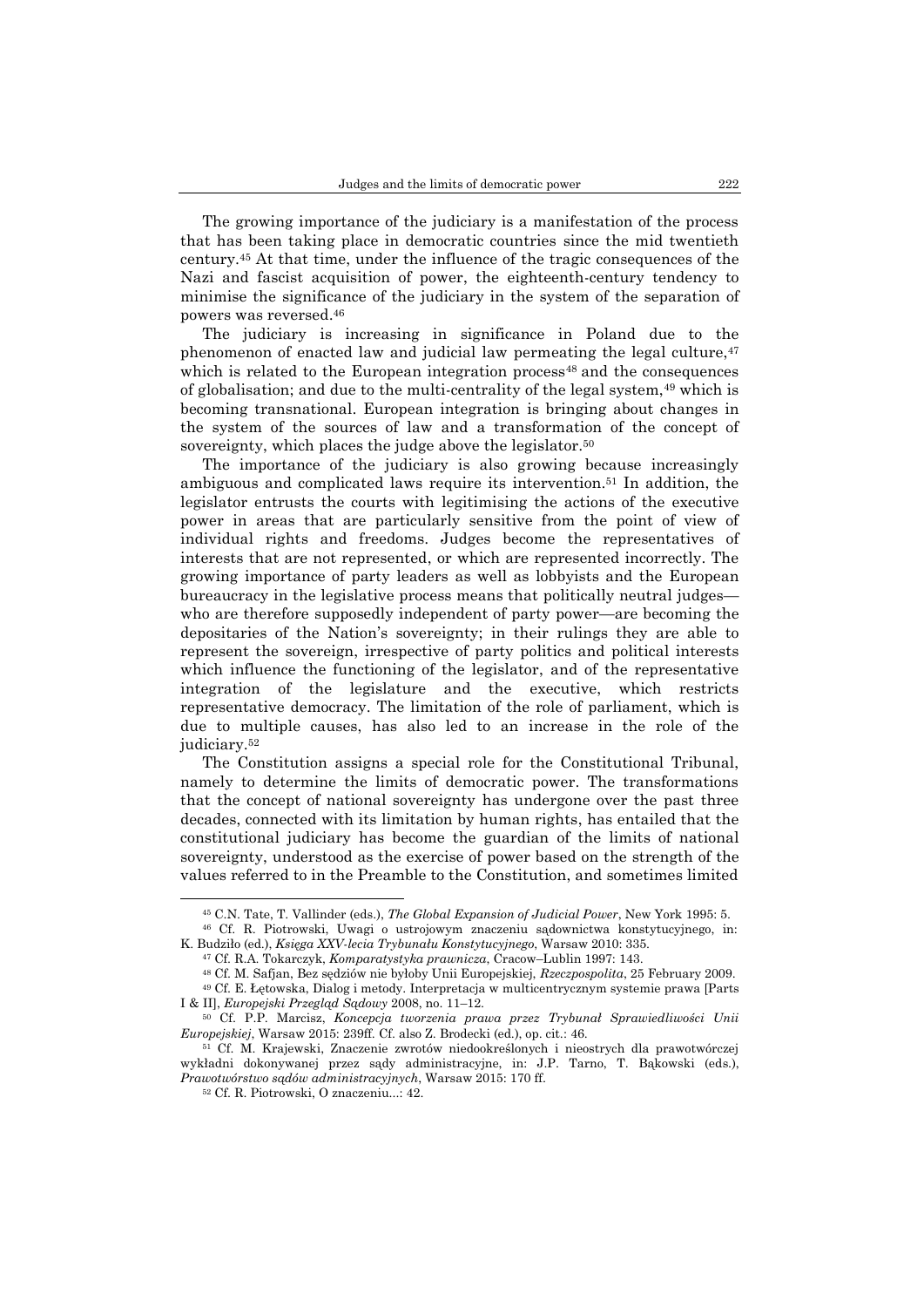The growing importance of the judiciary is a manifestation of the process that has been taking place in democratic countries since the mid twentieth century.<sup>45</sup> At that time, under the influence of the tragic consequences of the Nazi and fascist acquisition of power, the eighteenth-century tendency to minimise the significance of the judiciary in the system of the separation of powers was reversed. 46

The judiciary is increasing in significance in Poland due to the phenomenon of enacted law and judicial law permeating the legal culture,<sup>47</sup> which is related to the European integration process<sup>48</sup> and the consequences of globalisation; and due to the multi-centrality of the legal system,<sup>49</sup> which is becoming transnational. European integration is bringing about changes in the system of the sources of law and a transformation of the concept of sovereignty, which places the judge above the legislator.<sup>50</sup>

The importance of the judiciary is also growing because increasingly ambiguous and complicated laws require its intervention.<sup>51</sup> In addition, the legislator entrusts the courts with legitimising the actions of the executive power in areas that are particularly sensitive from the point of view of individual rights and freedoms. Judges become the representatives of interests that are not represented, or which are represented incorrectly. The growing importance of party leaders as well as lobbyists and the European bureaucracy in the legislative process means that politically neutral judges who are therefore supposedly independent of party power—are becoming the depositaries of the Nation's sovereignty; in their rulings they are able to represent the sovereign, irrespective of party politics and political interests which influence the functioning of the legislator, and of the representative integration of the legislature and the executive, which restricts representative democracy. The limitation of the role of parliament, which is due to multiple causes, has also led to an increase in the role of the judiciary.<sup>52</sup>

The Constitution assigns a special role for the Constitutional Tribunal, namely to determine the limits of democratic power. The transformations that the concept of national sovereignty has undergone over the past three decades, connected with its limitation by human rights, has entailed that the constitutional judiciary has become the guardian of the limits of national sovereignty, understood as the exercise of power based on the strength of the values referred to in the Preamble to the Constitution, and sometimes limited

<sup>45</sup> C.N. Tate, T. Vallinder (eds.), *The Global Expansion of Judicial Power*, New York 1995: 5.

<sup>46</sup> Cf. R. Piotrowski, Uwagi o ustrojowym znaczeniu sądownictwa konstytucyjnego, in: K. Budziło (ed.), *Księga XXV-lecia Trybunału Konstytucyjnego*, Warsaw 2010: 335.

<sup>47</sup> Cf. R.A. Tokarczyk, *Komparatystyka prawnicza*, Cracow–Lublin 1997: 143.

<sup>48</sup> Cf. M. Safjan, Bez sędziów nie byłoby Unii Europejskiej, *Rzeczpospolita*, 25 February 2009. <sup>49</sup> Cf. E. Łętowska, Dialog i metody. Interpretacja w multicentrycznym systemie prawa [Parts I & II], *Europejski Przegląd Sądowy* 2008, no. 11–12.

<sup>50</sup> Cf. P.P. Marcisz, *Koncepcja tworzenia prawa przez Trybunał Sprawiedliwości Unii Europejskiej*, Warsaw 2015: 239ff. Cf. also Z. Brodecki (ed.), op. cit.: 46.

<sup>51</sup> Cf. M. Krajewski, Znaczenie zwrotów niedookreślonych i nieostrych dla prawotwórczej wykładni dokonywanej przez sądy administracyjne, in: J.P. Tarno, T. Bąkowski (eds.), *Prawotwórstwo sądów administracyjnych*, Warsaw 2015: 170 ff.

<sup>52</sup> Cf. R. Piotrowski, O znaczeniu...: 42.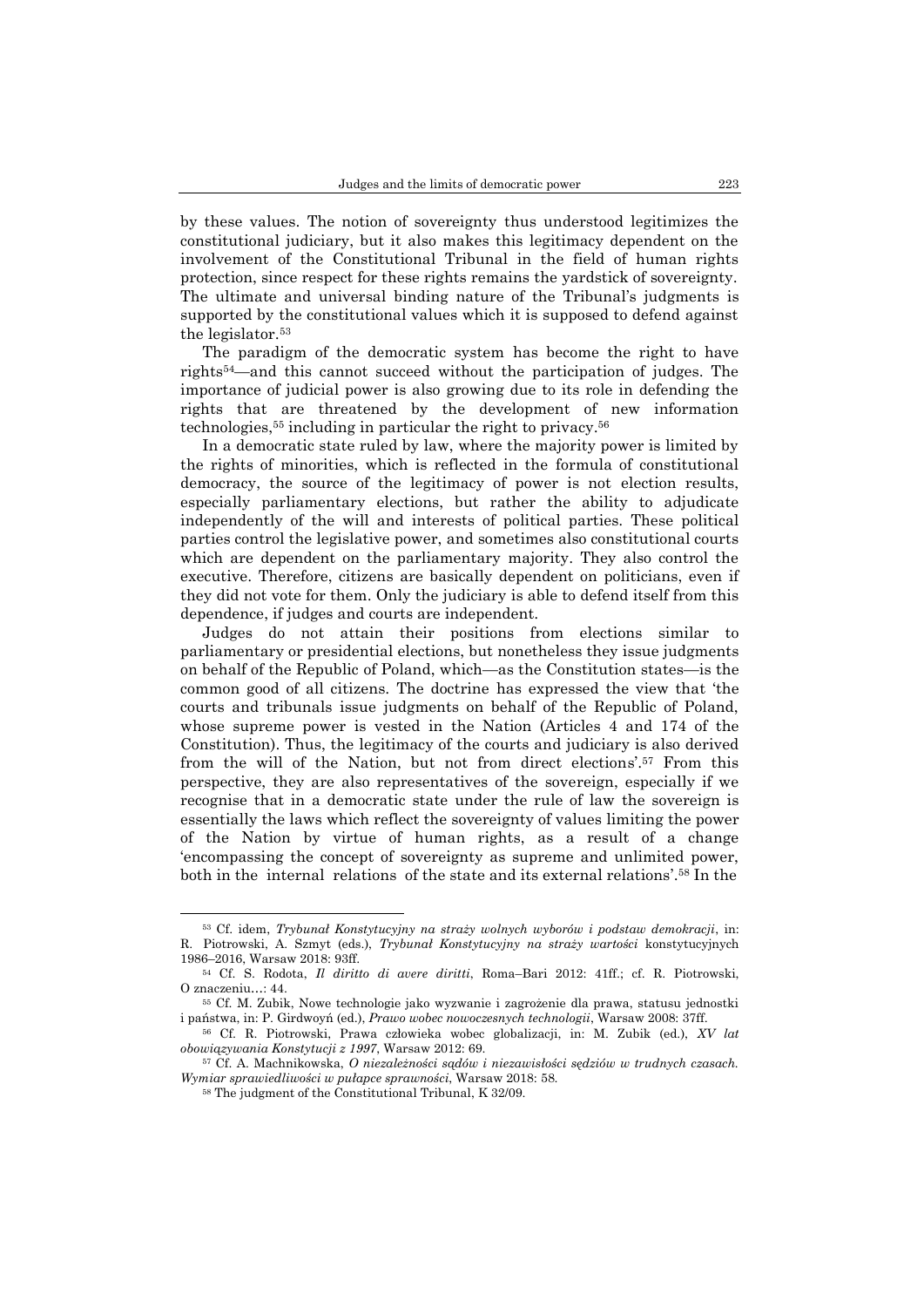by these values. The notion of sovereignty thus understood legitimizes the constitutional judiciary, but it also makes this legitimacy dependent on the involvement of the Constitutional Tribunal in the field of human rights protection, since respect for these rights remains the yardstick of sovereignty. The ultimate and universal binding nature of the Tribunal's judgments is supported by the constitutional values which it is supposed to defend against the legislator.<sup>53</sup>

The paradigm of the democratic system has become the right to have rights54—and this cannot succeed without the participation of judges. The importance of judicial power is also growing due to its role in defending the rights that are threatened by the development of new information technologies,<sup>55</sup> including in particular the right to privacy.<sup>56</sup>

In a democratic state ruled by law, where the majority power is limited by the rights of minorities, which is reflected in the formula of constitutional democracy, the source of the legitimacy of power is not election results, especially parliamentary elections, but rather the ability to adjudicate independently of the will and interests of political parties. These political parties control the legislative power, and sometimes also constitutional courts which are dependent on the parliamentary majority. They also control the executive. Therefore, citizens are basically dependent on politicians, even if they did not vote for them. Only the judiciary is able to defend itself from this dependence, if judges and courts are independent.

Judges do not attain their positions from elections similar to parliamentary or presidential elections, but nonetheless they issue judgments on behalf of the Republic of Poland, which—as the Constitution states—is the common good of all citizens. The doctrine has expressed the view that 'the courts and tribunals issue judgments on behalf of the Republic of Poland, whose supreme power is vested in the Nation (Articles 4 and 174 of the Constitution). Thus, the legitimacy of the courts and judiciary is also derived from the will of the Nation, but not from direct elections'.<sup>57</sup> From this perspective, they are also representatives of the sovereign, especially if we recognise that in a democratic state under the rule of law the sovereign is essentially the laws which reflect the sovereignty of values limiting the power of the Nation by virtue of human rights, as a result of a change 'encompassing the concept of sovereignty as supreme and unlimited power, both in the internal relationsof the state and its external relations'.<sup>58</sup> In the

<sup>53</sup> Cf. idem, *Trybunał Konstytucyjny na straży wolnych wyborów i podstaw demokracji*, in: R. Piotrowski, A. Szmyt (eds.), *Trybunał Konstytucyjny na straży wartości* konstytucyjnych 1986–2016, Warsaw 2018: 93ff.

<sup>54</sup> Cf. S. Rodota, *Il diritto di avere diritti*, Roma–Bari 2012: 41ff.; cf. R. Piotrowski, O znaczeniu…: 44.

<sup>55</sup> Cf. M. Zubik, Nowe technologie jako wyzwanie i zagrożenie dla prawa, statusu jednostki i państwa, in: P. Girdwoyń (ed.), *Prawo wobec nowoczesnych technologii*, Warsaw 2008: 37ff.

<sup>56</sup> Cf. R. Piotrowski, Prawa człowieka wobec globalizacji, in: M. Zubik (ed.), *XV lat obowiązywania Konstytucji z 1997*, Warsaw 2012: 69.

<sup>57</sup> Cf. A. Machnikowska, *O niezależności sądów i niezawisłości sędziów w trudnych czasach. Wymiar sprawiedliwości w pułapce sprawności*, Warsaw 2018: 58.

<sup>58</sup> The judgment of the Constitutional Tribunal, K 32/09.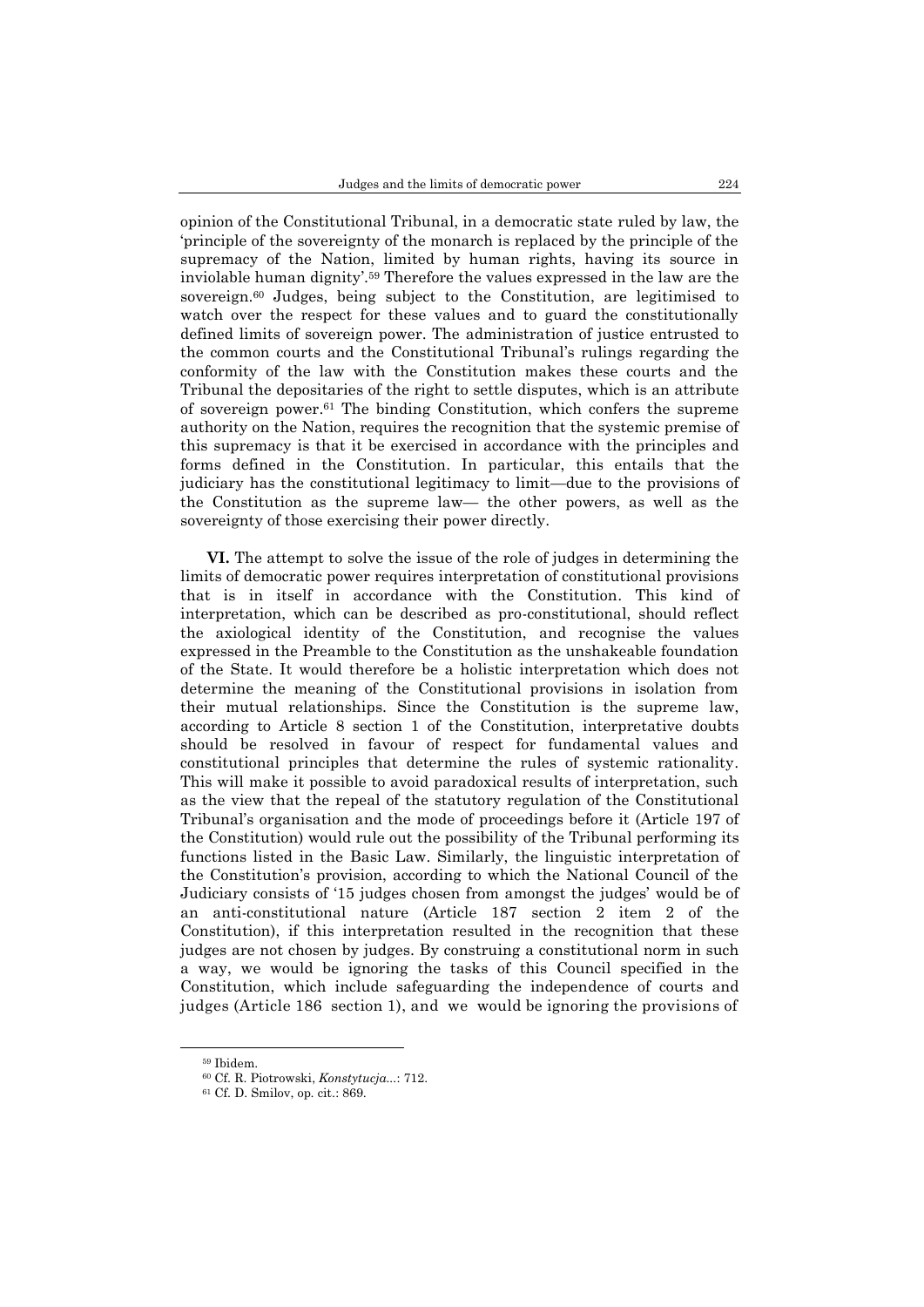opinion of the Constitutional Tribunal, in a democratic state ruled by law, the 'principle of the sovereignty of the monarch is replaced by the principle of the supremacy of the Nation, limited by human rights, having its source in inviolable human dignity'. <sup>59</sup> Therefore the values expressed in the law are the sovereign.<sup>60</sup> Judges, being subject to the Constitution, are legitimised to watch over the respect for these values and to guard the constitutionally defined limits of sovereign power. The administration of justice entrusted to the common courts and the Constitutional Tribunal's rulings regarding the conformity of the law with the Constitution makes these courts and the Tribunal the depositaries of the right to settle disputes, which is an attribute of sovereign power. <sup>61</sup> The binding Constitution, which confers the supreme authority on the Nation, requires the recognition that the systemic premise of this supremacy is that it be exercised in accordance with the principles and forms defined in the Constitution. In particular, this entails that the judiciary has the constitutional legitimacy to limit—due to the provisions of the Constitution as the supreme law— the other powers, as well as the sovereignty of those exercising their power directly.

**VI.** The attempt to solve the issue of the role of judges in determining the limits of democratic power requires interpretation of constitutional provisions that is in itself in accordance with the Constitution. This kind of interpretation, which can be described as pro-constitutional, should reflect the axiological identity of the Constitution, and recognise the values expressed in the Preamble to the Constitution as the unshakeable foundation of the State. It would therefore be a holistic interpretation which does not determine the meaning of the Constitutional provisions in isolation from their mutual relationships. Since the Constitution is the supreme law, according to Article 8 section 1 of the Constitution, interpretative doubts should be resolved in favour of respect for fundamental values and constitutional principles that determine the rules of systemic rationality. This will make it possible to avoid paradoxical results of interpretation, such as the view that the repeal of the statutory regulation of the Constitutional Tribunal's organisation and the mode of proceedings before it (Article 197 of the Constitution) would rule out the possibility of the Tribunal performing its functions listed in the Basic Law. Similarly, the linguistic interpretation of the Constitution's provision, according to which the National Council of the Judiciary consists of '15 judges chosen from amongst the judges' would be of an anti-constitutional nature (Article 187 section 2 item 2 of the Constitution), if this interpretation resulted in the recognition that these judges are not chosen by judges. By construing a constitutional norm in such a way, we would be ignoring the tasks of this Council specified in the Constitution, which include safeguarding the independence of courts and judges (Article 186 section 1), and we would be ignoring the provisions of

<sup>59</sup> Ibidem.

<sup>60</sup> Cf. R. Piotrowski, *Konstytucja...*: 712.

<sup>61</sup> Cf. D. Smilov, op. cit.: 869.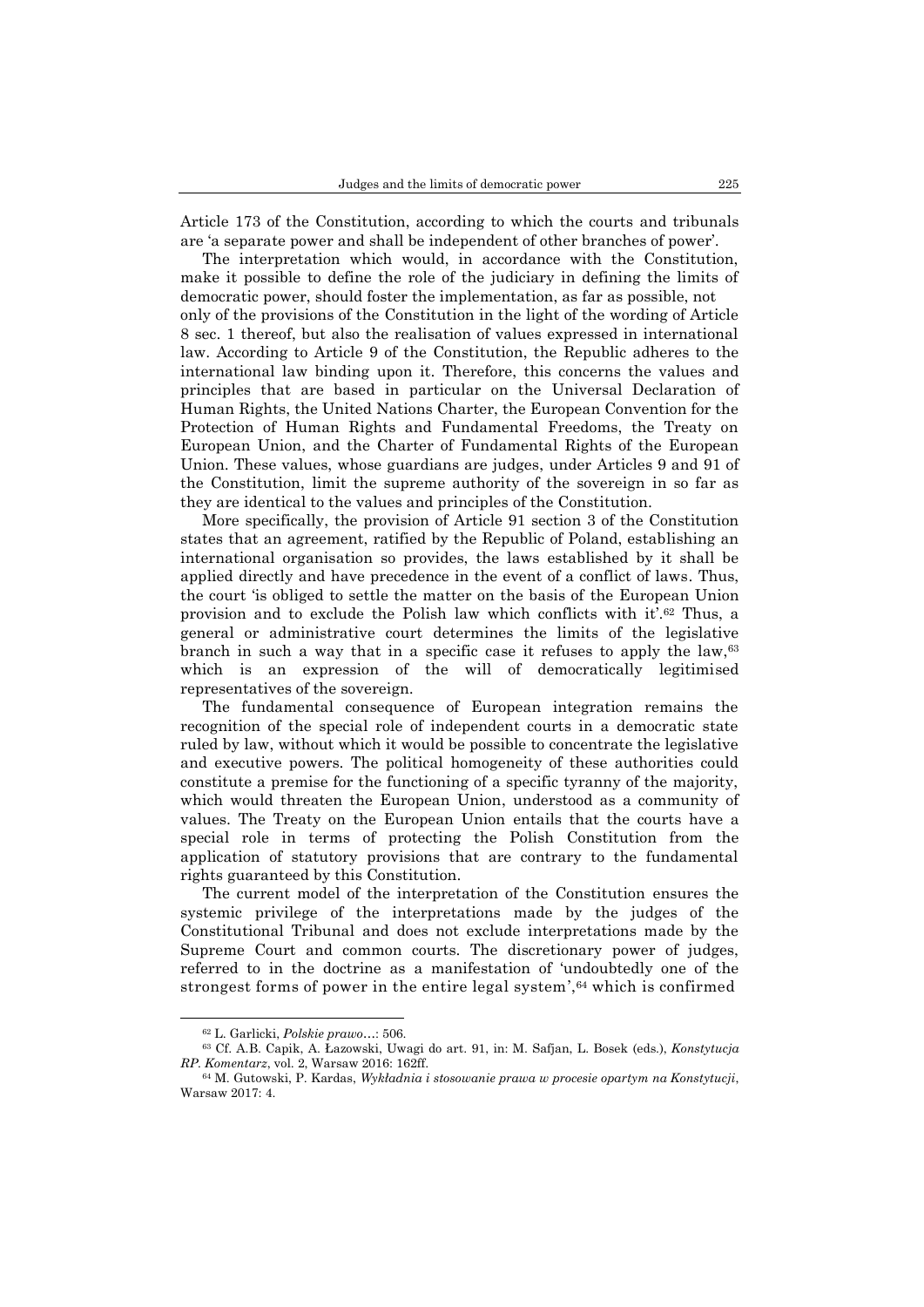Article 173 of the Constitution, according to which the courts and tribunals are 'a separate power and shall be independent of other branches of power'.

The interpretation which would, in accordance with the Constitution, make it possible to define the role of the judiciary in defining the limits of democratic power, should foster the implementation, as far as possible, not only of the provisions of the Constitution in the light of the wording of Article 8 sec. 1 thereof, but also the realisation of values expressed in international law. According to Article 9 of the Constitution, the Republic adheres to the international law binding upon it. Therefore, this concerns the values and principles that are based in particular on the Universal Declaration of Human Rights, the United Nations Charter, the European Convention for the Protection of Human Rights and Fundamental Freedoms, the Treaty on European Union, and the Charter of Fundamental Rights of the European Union. These values, whose guardians are judges, under Articles 9 and 91 of

they are identical to the values and principles of the Constitution. More specifically, the provision of Article 91 section 3 of the Constitution states that an agreement, ratified by the Republic of Poland, establishing an international organisation so provides, the laws established by it shall be applied directly and have precedence in the event of a conflict of laws. Thus, the court 'is obliged to settle the matter on the basis of the European Union provision and to exclude the Polish law which conflicts with it'. <sup>62</sup> Thus, a general or administrative court determines the limits of the legislative branch in such a way that in a specific case it refuses to apply the law,<sup>63</sup> which is an expression of the will of democratically legitimised representatives of the sovereign.

the Constitution, limit the supreme authority of the sovereign in so far as

The fundamental consequence of European integration remains the recognition of the special role of independent courts in a democratic state ruled by law, without which it would be possible to concentrate the legislative and executive powers. The political homogeneity of these authorities could constitute a premise for the functioning of a specific tyranny of the majority, which would threaten the European Union, understood as a community of values. The Treaty on the European Union entails that the courts have a special role in terms of protecting the Polish Constitution from the application of statutory provisions that are contrary to the fundamental rights guaranteed by this Constitution.

The current model of the interpretation of the Constitution ensures the systemic privilege of the interpretations made by the judges of the Constitutional Tribunal and does not exclude interpretations made by the Supreme Court and common courts. The discretionary power of judges, referred to in the doctrine as a manifestation of 'undoubtedly one of the strongest forms of power in the entire legal system', <sup>64</sup> which is confirmed

<sup>62</sup> L. Garlicki, *Polskie prawo…*: 506.

<sup>63</sup> Cf. A.B. Capik, A. Łazowski, Uwagi do art. 91, in: M. Safjan, L. Bosek (eds.), *Konstytucja RP. Komentarz*, vol. 2, Warsaw 2016: 162ff.

<sup>64</sup> M. Gutowski, P. Kardas, *Wykładnia i stosowanie prawa w procesie opartym na Konstytucji*, Warsaw 2017: 4.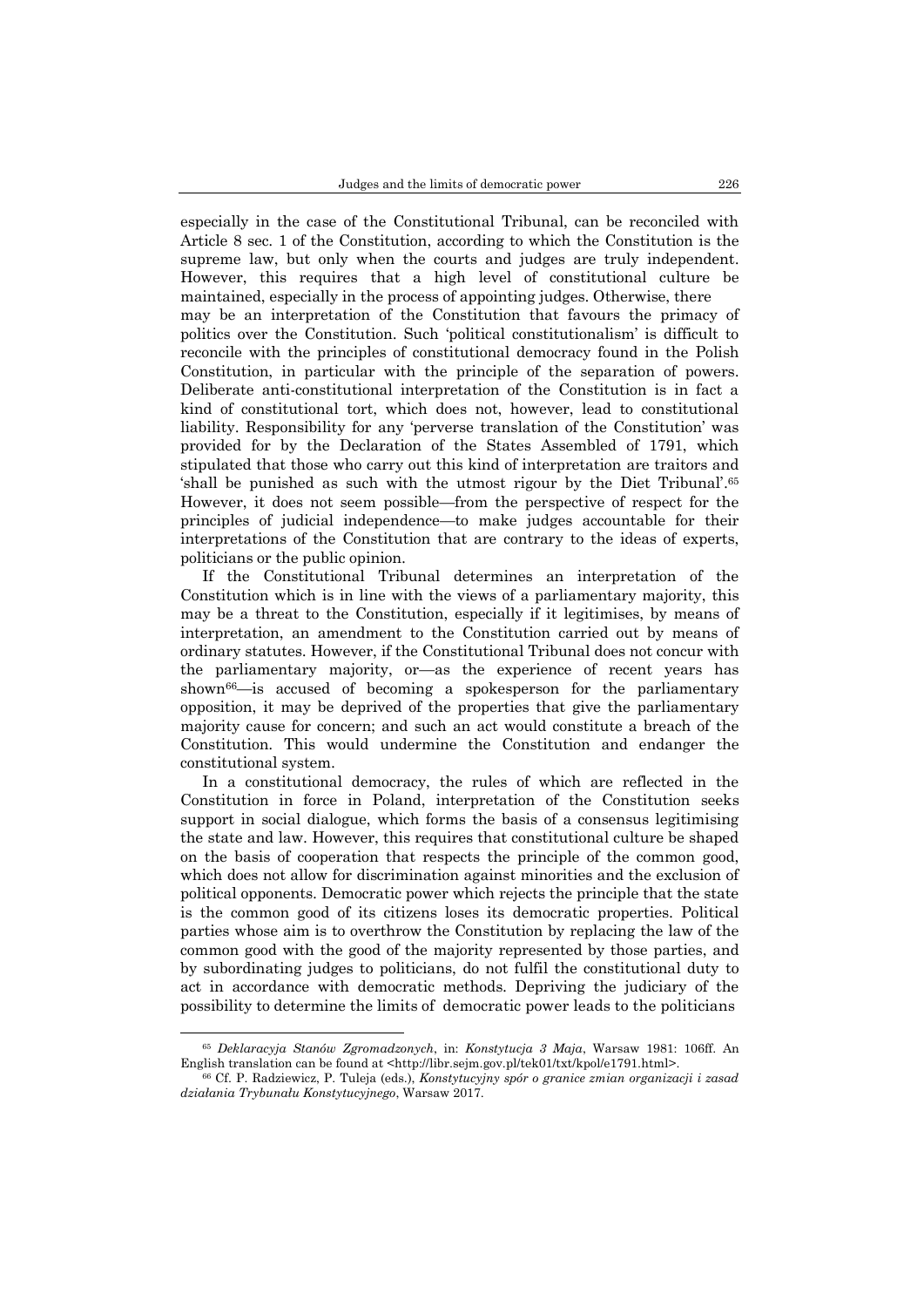especially in the case of the Constitutional Tribunal, can be reconciled with Article 8 sec. 1 of the Constitution, according to which the Constitution is the supreme law, but only when the courts and judges are truly independent. However, this requires that a high level of constitutional culture be maintained, especially in the process of appointing judges. Otherwise, there may be an interpretation of the Constitution that favours the primacy of politics over the Constitution. Such 'political constitutionalism' is difficult to reconcile with the principles of constitutional democracy found in the Polish Constitution, in particular with the principle of the separation of powers. Deliberate anti-constitutional interpretation of the Constitution is in fact a kind of constitutional tort, which does not, however, lead to constitutional liability. Responsibility for any 'perverse translation of the Constitution' was provided for by the Declaration of the States Assembled of 1791, which stipulated that those who carry out this kind of interpretation are traitors and 'shall be punished as such with the utmost rigour by the Diet Tribunal'. 65 However, it does not seem possible—from the perspective of respect for the principles of judicial independence—to make judges accountable for their interpretations of the Constitution that are contrary to the ideas of experts, politicians or the public opinion.

If the Constitutional Tribunal determines an interpretation of the Constitution which is in line with the views of a parliamentary majority, this may be a threat to the Constitution, especially if it legitimises, by means of interpretation, an amendment to the Constitution carried out by means of ordinary statutes. However, if the Constitutional Tribunal does not concur with the parliamentary majority, or—as the experience of recent years has shown<sup>66</sup>—is accused of becoming a spokesperson for the parliamentary opposition, it may be deprived of the properties that give the parliamentary majority cause for concern; and such an act would constitute a breach of the Constitution. This would undermine the Constitution and endanger the constitutional system.

In a constitutional democracy, the rules of which are reflected in the Constitution in force in Poland, interpretation of the Constitution seeks support in social dialogue, which forms the basis of a consensus legitimising the state and law. However, this requires that constitutional culture be shaped on the basis of cooperation that respects the principle of the common good, which does not allow for discrimination against minorities and the exclusion of political opponents. Democratic power which rejects the principle that the state is the common good of its citizens loses its democratic properties. Political parties whose aim is to overthrow the Constitution by replacing the law of the common good with the good of the majority represented by those parties, and by subordinating judges to politicians, do not fulfil the constitutional duty to act in accordance with democratic methods. Depriving the judiciary of the possibility to determine the limits of democratic power leads to the politicians

<sup>65</sup> *Deklaracyja Stanów Zgromadzonych*, in: *Konstytucja 3 Maja*, Warsaw 1981: 106ff. An English translation can be found at [<http://libr.sejm.gov.pl/tek01/txt/kpol/e1791.html>](http://libr.sejm.gov.pl/tek01/txt/kpol/e1791.html).

<sup>66</sup> Cf. P. Radziewicz, P. Tuleja (eds.), *Konstytucyjny spór o granice zmian organizacji i zasad działania Trybunału Konstytucyjnego*, Warsaw 2017.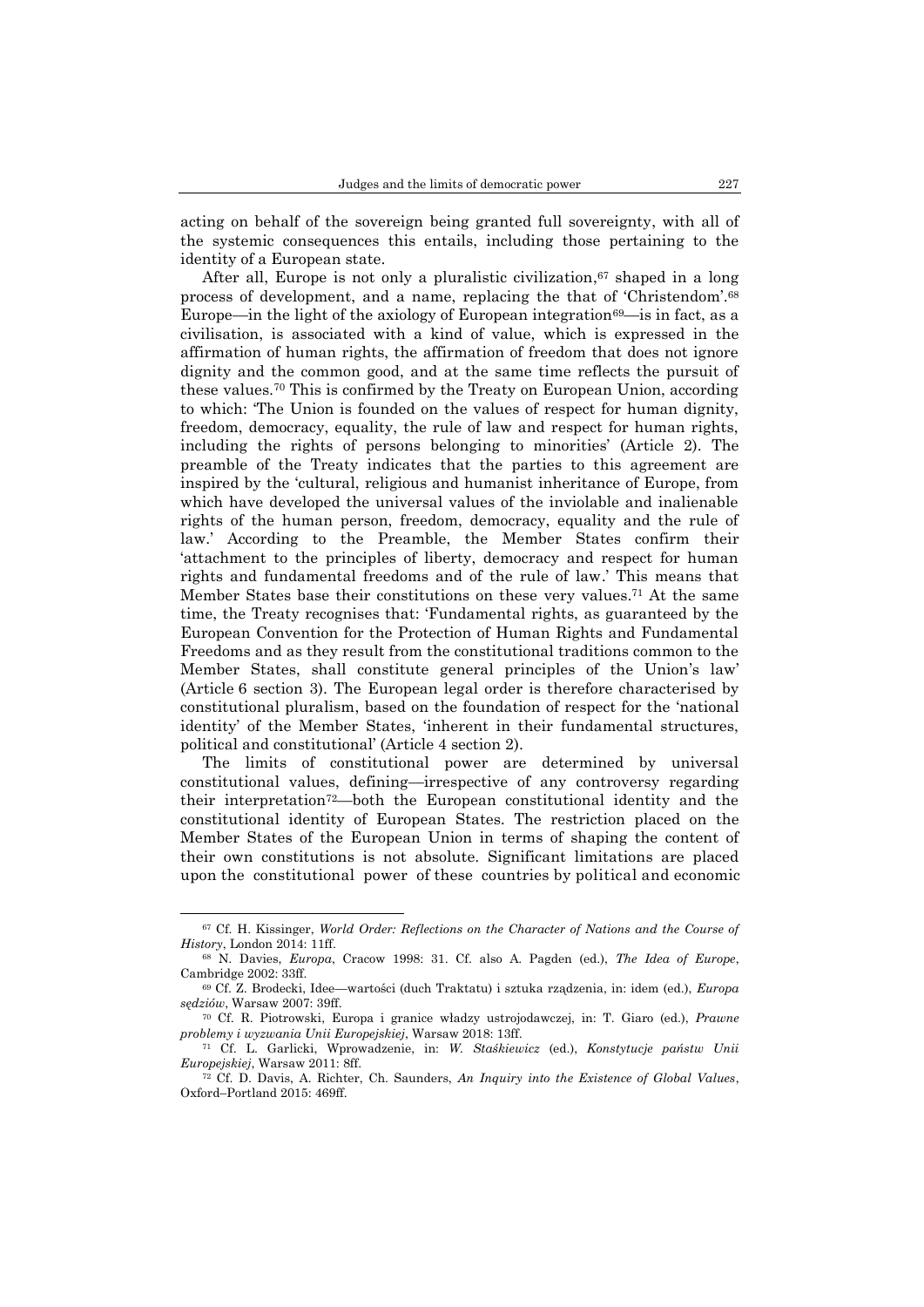acting on behalf of the sovereign being granted full sovereignty, with all of the systemic consequences this entails, including those pertaining to the identity of a European state.

After all, Europe is not only a pluralistic civilization, <sup>67</sup> shaped in a long process of development, and a name, replacing the that of 'Christendom'. 68 Europe—in the light of the axiology of European integration<sup>69</sup>—is in fact, as a civilisation, is associated with a kind of value, which is expressed in the affirmation of human rights, the affirmation of freedom that does not ignore dignity and the common good, and at the same time reflects the pursuit of these values.<sup>70</sup> This is confirmed by the Treaty on European Union, according to which: 'The Union is founded on the values of respect for human dignity, freedom, democracy, equality, the rule of law and respect for human rights, including the rights of persons belonging to minorities' (Article 2). The preamble of the Treaty indicates that the parties to this agreement are inspired by the 'cultural, religious and humanist inheritance of Europe, from which have developed the universal values of the inviolable and inalienable rights of the human person, freedom, democracy, equality and the rule of law.' According to the Preamble, the Member States confirm their 'attachment to the principles of liberty, democracy and respect for human rights and fundamental freedoms and of the rule of law.' This means that Member States base their constitutions on these very values.<sup>71</sup> At the same time, the Treaty recognises that: 'Fundamental rights, as guaranteed by the European Convention for the Protection of Human Rights and Fundamental Freedoms and as they result from the constitutional traditions common to the Member States, shall constitute general principles of the Union's law' (Article 6 section 3). The European legal order is therefore characterised by constitutional pluralism, based on the foundation of respect for the 'national identity' of the Member States, 'inherent in their fundamental structures, political and constitutional' (Article 4 section 2).

The limits of constitutional power are determined by universal constitutional values, defining—irrespective of any controversy regarding their interpretation72—both the European constitutional identity and the constitutional identity of European States. The restriction placed on the Member States of the European Union in terms of shaping the content of their own constitutions is not absolute. Significant limitations are placed upon the constitutional power of these countries by political and economic

<sup>67</sup> Cf. H. Kissinger, *World Order: Reflections on the Character of Nations and the Course of History*, London 2014: 11ff.

<sup>68</sup> N. Davies, *Europa*, Cracow 1998: 31. Cf. also A. Pagden (ed.), *The Idea of Europe*, Cambridge 2002: 33ff.

<sup>69</sup> Cf. Z. Brodecki, Idee—wartości (duch Traktatu) i sztuka rządzenia, in: idem (ed.), *Europa sędziów*, Warsaw 2007: 39ff.

<sup>70</sup> Cf. R. Piotrowski, Europa i granice władzy ustrojodawczej, in: T. Giaro (ed.), *Prawne problemy i wyzwania Unii Europejskiej*, Warsaw 2018: 13ff.

<sup>71</sup> Cf. L. Garlicki, Wprowadzenie, in: *W. Staśkiewicz* (ed.), *Konstytucje państw Unii Europejskiej*, Warsaw 2011: 8ff.

<sup>72</sup> Cf. D. Davis, A. Richter, Ch. Saunders, *An Inquiry into the Existence of Global Values*, Oxford–Portland 2015: 469ff.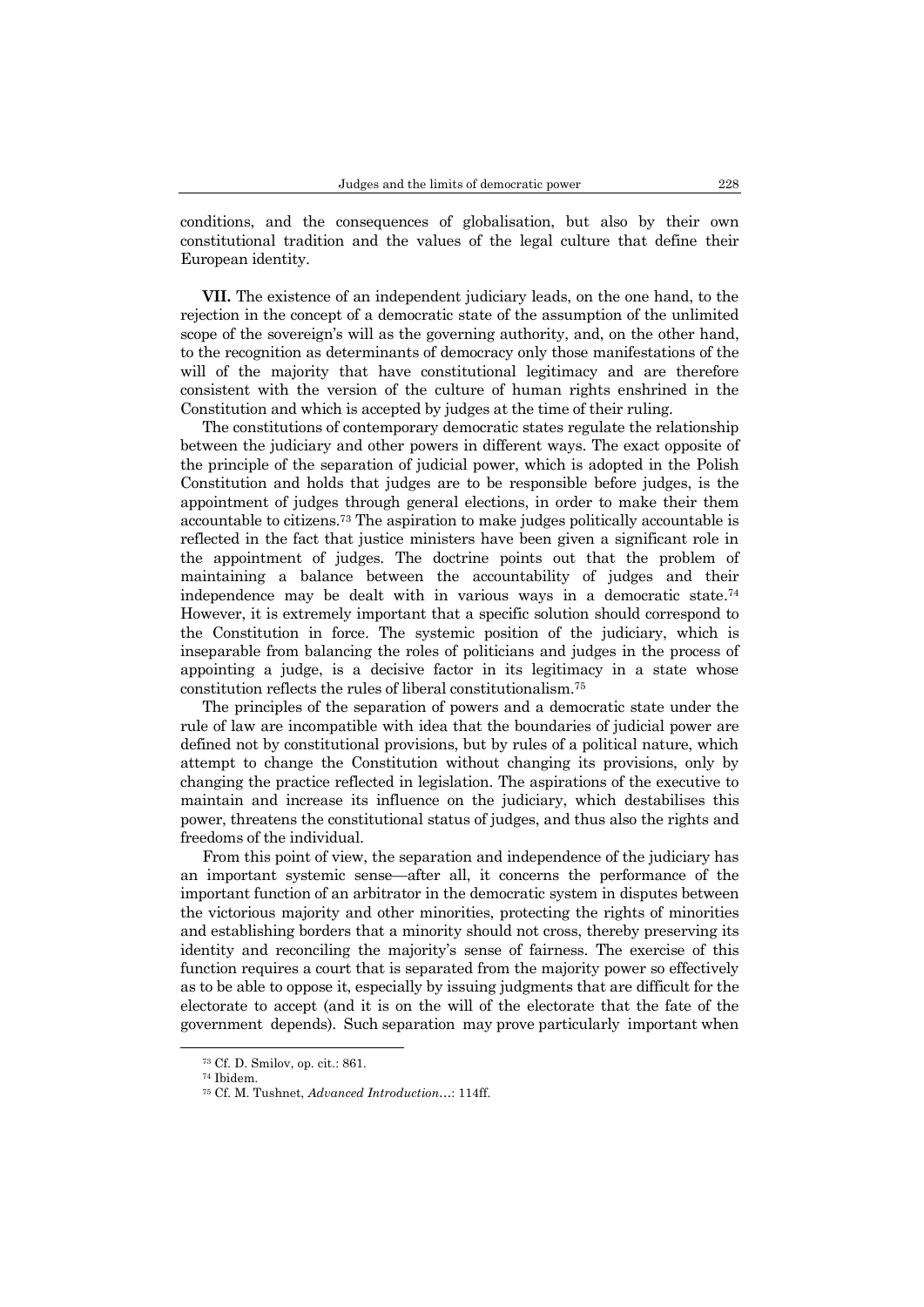conditions, and the consequences of globalisation, but also by their own constitutional tradition and the values of the legal culture that define their European identity.

**VII.** The existence of an independent judiciary leads, on the one hand, to the rejection in the concept of a democratic state of the assumption of the unlimited scope of the sovereign's will as the governing authority, and, on the other hand, to the recognition as determinants of democracy only those manifestations of the will of the majority that have constitutional legitimacy and are therefore consistent with the version of the culture of human rights enshrined in the Constitution and which is accepted by judges at the time of their ruling.

The constitutions of contemporary democratic states regulate the relationship between the judiciary and other powers in different ways. The exact opposite of the principle of the separation of judicial power, which is adopted in the Polish Constitution and holds that judges are to be responsible before judges, is the appointment of judges through general elections, in order to make their them accountable to citizens. <sup>73</sup> The aspiration to make judges politically accountable is reflected in the fact that justice ministers have been given a significant role in the appointment of judges. The doctrine points out that the problem of maintaining a balance between the accountability of judges and their independence may be dealt with in various ways in a democratic state. 74 However, it is extremely important that a specific solution should correspond to the Constitution in force. The systemic position of the judiciary, which is inseparable from balancing the roles of politicians and judges in the process of appointing a judge, is a decisive factor in its legitimacy in a state whose constitution reflects the rules of liberal constitutionalism. 75

The principles of the separation of powers and a democratic state under the rule of law are incompatible with idea that the boundaries of judicial power are defined not by constitutional provisions, but by rules of a political nature, which attempt to change the Constitution without changing its provisions, only by changing the practice reflected in legislation. The aspirations of the executive to maintain and increase its influence on the judiciary, which destabilises this power, threatens the constitutional status of judges, and thus also the rights and freedoms of the individual.

From this point of view, the separation and independence of the judiciary has an important systemic sense—after all, it concerns the performance of the important function of an arbitrator in the democratic system in disputes between the victorious majority and other minorities, protecting the rights of minorities and establishing borders that a minority should not cross, thereby preserving its identity and reconciling the majority's sense of fairness. The exercise of this function requires a court that is separated from the majority power so effectively as to be able to oppose it, especially by issuing judgments that are difficult for the electorate to accept (and it is on the will of the electorate that the fate of the government depends). Such separation may prove particularly important when

<sup>73</sup> Cf. D. Smilov, op. cit.: 861.

<sup>74</sup> Ibidem.

<sup>75</sup> Cf. M. Tushnet, *Advanced Introduction*…: 114ff.